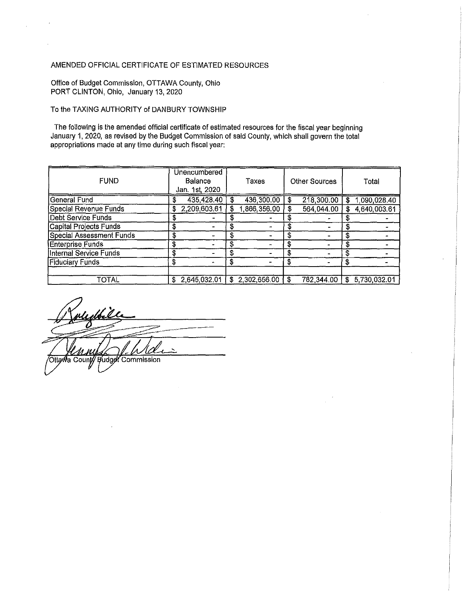## AMENDED OFFICIAL CERTIFICATE OF ESTIMATED RESOURCES

Office of Budget Commission, OTTAWA County, Ohio PORT CLINTON, Ohio, January 13, 2020

## To the TAXING AUTHORITY of DANBURY TOWNSHIP

The following is the amended official certificate of estimated resources for the fiscal year beginning January 1, 2020, as revised by the Budget Commission of said County, which shall govern the total appropriations made at any time during such fiscal year:

| <b>FUND</b>                   |    | Unencumbered<br>Balance<br>Jan. 1st, 2020 |     | Taxes        |    | <b>Other Sources</b> |    | Total        |
|-------------------------------|----|-------------------------------------------|-----|--------------|----|----------------------|----|--------------|
| <b>General Fund</b>           |    | 435,428.40                                |     | 436,300.00   | \$ | 218,300.00           | S  | 1,090,028.40 |
| Special Revenue Funds         | 3  | 2,209,603.61                              |     | 866,356.00   |    | 564,044.00           | \$ | 4,640,003.61 |
| <b>Debt Service Funds</b>     |    |                                           |     |              |    |                      |    |              |
| <b>Capital Projects Funds</b> |    |                                           |     |              |    |                      | S  |              |
| Special Assessment Funds      | \$ |                                           |     |              |    |                      | S  |              |
| <b>Enterprise Funds</b>       | \$ |                                           |     |              | Ŧ. | -                    | S  |              |
| <b>Internal Service Funds</b> | \$ |                                           | S   |              |    |                      |    |              |
| <b>Fiduciary Funds</b>        | \$ |                                           | S   |              | \$ | ш.                   | S  |              |
| TOTAL                         | \$ | 2,645,032.01                              | \$. | 2,302,656.00 |    | 782,344.00           | \$ | 5,730,032.01 |

Otta∕Wa Count**∕**∕ **Budget Commission**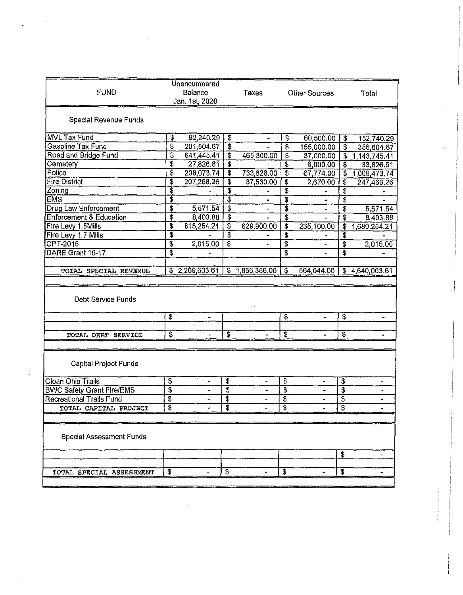| <b>FUND</b>                                                                              | Unencumbered<br>Balance<br>Jan. 1st, 2020 |                | Taxes                     | <b>Other Sources</b> |                           | Total      |                                        |              |
|------------------------------------------------------------------------------------------|-------------------------------------------|----------------|---------------------------|----------------------|---------------------------|------------|----------------------------------------|--------------|
| Special Revenue Funds                                                                    |                                           |                |                           |                      |                           |            |                                        |              |
| <b>MVL Tax Fund</b>                                                                      | \$                                        | 92,240.29      | $\pmb{\vartheta}$         |                      | \$                        | 60,500.00  | \$                                     | 152,740.29   |
| <b>Gasoline Tax Fund</b>                                                                 | \$                                        | 201,504.67     | \$                        |                      | \$                        | 155,000.00 | \$                                     | 356,504.67   |
| Road and Bridge Fund                                                                     | \$                                        | 641,445.41     | \$                        | 465,300.00           | \$                        | 37,000.00  | \$                                     | 1,143,745.41 |
| Cemetery                                                                                 | \$                                        | 27,826.61      | \$                        |                      | \$                        | 6,000.00   | \$                                     | 33,826.61    |
| Police                                                                                   | \$                                        | 208,073.74     | $\boldsymbol{\hat{z}}$    | 733,626.00           | \$                        | 67,774.00  | \$                                     | 1,009,473.74 |
| <b>Fire District</b>                                                                     | \$                                        | 207,268.26     | \$                        | 37,530.00            | \$                        | 2,670.00   | \$                                     | 247,468.26   |
| Zoning                                                                                   | \$                                        |                | \$                        |                      | \$                        |            | \$                                     |              |
| <b>EMS</b>                                                                               | \$                                        |                | \$                        |                      | \$                        |            | \$                                     |              |
| <b>Drug Law Enforcement</b>                                                              | \$                                        | 5,571.54       | \$                        |                      | \$                        |            | \$                                     | 5,571.54     |
| <b>Enforcement &amp; Education</b>                                                       | \$                                        | 8,403.88       | $\overline{\mathfrak{s}}$ |                      | $\overline{\$}$           |            | \$                                     | 8,403.88     |
| Fire Levy 1.5Mills                                                                       | \$                                        | 815,254.21     | \$                        | 629,900.00           | \$                        | 235,100.00 | \$                                     | 680,254.21   |
| Fire Levy 1.7 Mills                                                                      | \$                                        |                | $\overline{\mathbf{3}}$   |                      | \$                        |            | \$                                     |              |
| CPT-2015                                                                                 | \$                                        | 2,015.00       | $\overline{\mathbf{3}}$   |                      | \$                        |            | $\overline{\mathbf{3}}$                | 2,015.00     |
| DARE Grant 16-17                                                                         | \$                                        |                |                           |                      | \$                        |            | \$                                     |              |
|                                                                                          |                                           |                |                           |                      |                           |            |                                        |              |
| TOTAL SPECIAL REVENUE                                                                    |                                           | \$2,209,603.61 | Ŝ                         | 1,866,356.00         | \$                        | 564,044.00 | $\overline{\mathfrak{s}}$              | 4,640,003.61 |
| Debt Service Funds                                                                       | \$                                        | ۰              |                           |                      | \$                        | w.         | \$                                     | -            |
|                                                                                          |                                           |                |                           |                      |                           |            |                                        |              |
| TOTAL DEBT SERVICE                                                                       | \$                                        |                | \$                        |                      | $\overline{\mathfrak{s}}$ | $\ddot{ }$ | \$                                     |              |
| <b>Capital Project Funds</b>                                                             |                                           |                |                           |                      |                           |            |                                        |              |
|                                                                                          | \$                                        |                | \$                        |                      | \$                        |            | $\overline{\mathbf{3}}$                |              |
|                                                                                          | \$                                        |                | \$                        |                      | \$                        |            | $\overline{\boldsymbol{\mathfrak{s}}}$ | ٠            |
| Clean Ohio Trails<br><b>BWC Safety Grant Fire/EMS</b><br><b>Recreational Trails Fund</b> | \$                                        |                | \$                        |                      | \$                        |            | \$                                     | ×            |
| TOTAL CAPITAL PROJECT                                                                    | \$                                        |                | ¢                         |                      | Ŧ                         |            | 3                                      |              |
|                                                                                          |                                           |                |                           |                      |                           |            |                                        |              |
| <b>Special Assessment Funds</b>                                                          |                                           |                |                           |                      |                           |            |                                        |              |
|                                                                                          |                                           |                |                           |                      |                           |            | \$                                     | .,           |
|                                                                                          |                                           |                |                           |                      |                           |            |                                        |              |

 $\label{eq:2} \begin{split} \mathcal{L}_{\text{max}}(\mathbf{r}) = \mathcal{L}_{\text{max}}(\mathbf{r}) \end{split}$ 

 $\mathcal{L}(\mathcal{A})$  and  $\mathcal{L}(\mathcal{A})$ 

 $\sim 10^7$ 

 $\label{eq:1} \begin{aligned} \mathcal{L}^{(1)}(x) &= \mathcal{L}^{(1)}(x) + \mathcal{L}^{(1)}(x) + \mathcal{L}^{(1)}(x) \\ &= \mathcal{L}^{(1)}(x) + \mathcal{L}^{(1)}(x) + \mathcal{L}^{(1)}(x) + \mathcal{L}^{(1)}(x) \end{aligned}$ 

 $\sim$   $\sim$ 

 $\alpha$